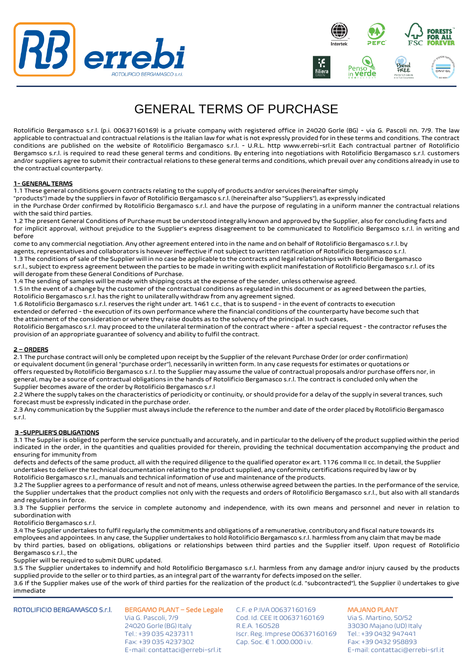



# GENERAL TERMS OF PURCHASE

Rotolificio Bergamasco s.r.l. (p.i. 00637160169) is a private company with registered office in 24020 Gorle (BG) - via G. Pascoli nn. 7/9. The law applicable to contractual and contractual relations is the Italian law for what is not expressly provided for in these terms and conditions. The contract conditions are published on the website of Rotolificio Bergamasco s.r.l. - U.R.L. http www.errebi-srl.it Each contractual partner of Rotolificio Bergamsco s.r.l. is required to read these general terms and conditions. By entering into negotiations with Rotolificio Bergamasco s.r.l. customers and/or suppliers agree to submit their contractual relations to these general terms and conditions, which prevail over any conditions already in use to the contractual counterparty.

## 1- GENERAL TERMS

1.1 These general conditions govern contracts relating to the supply of products and/or services (hereinafter simply

"products") made by the suppliers in favor of Rotolificio Bergamasco s.r.l. (hereinafter also "Suppliers"), as expressly indicated in the Purchase Order confirmed by Rotolificio Bergamasco s.r.l. and have the purpose of regulating in a uniform manner the contractual relations with the said third parties.

1.2 The present General Conditions of Purchase must be understood integrally known and approved by the Supplier, also for concluding facts and for implicit approval, without prejudice to the Supplier's express disagreement to be communicated to Rotolificio Bergamsco s.r.l. in writing and before

come to any commercial negotiation. Any other agreement entered into in the name and on behalf of Rotolificio Bergamasco s.r.l. by agents, representatives and collaborators is however ineffective if not subject to written ratification of Rotolificio Bergamasco s.r.l. 1.3 The conditions of sale of the Supplier will in no case be applicable to the contracts and legal relationships with Rotolificio Bergamasco

s.r.l., subject to express agreement between the parties to be made in writing with explicit manifestation of Rotolificio Bergamasco s.r.l. of its will derogate from these General Conditions of Purchase.

1.4 The sending of samples will be made with shipping costs at the expense of the sender, unless otherwise agreed.

1.5 In the event of a change by the customer of the contractual conditions as regulated in this document or as agreed between the parties, Rotolificio Bergamasco s.r.l. has the right to unilaterally withdraw from any agreement signed.

1.6 Rotolificio Bergamasco s.r.l. reserves the right under art. 1461 c.c., that is to suspend - in the event of contracts to execution extended or deferred - the execution of its own performance where the financial conditions of the counterparty have become such that

the attainment of the consideration or where they raise doubts as to the solvency of the principal. In such cases,

Rotolificio Bergamasco s.r.l. may proceed to the unilateral termination of the contract where - after a special request - the contractor refuses the provision of an appropriate guarantee of solvency and ability to fulfil the contract.

# 2 – ORDERS

2.1 The purchase contract will only be completed upon receipt by the Supplier of the relevant Purchase Order (or order confirmation) or equivalent document (in general "purchase order"), necessarily in written form. In any case requests for estimates or quotations or offers requested by Rotolificio Bergamasco s.r.l. to the Supplier may assume the value of contractual proposals and/or purchase offers nor, in general, may be a source of contractual obligations in the hands of Rotolificio Bergamasco s.r.l. The contract is concluded only when the Supplier becomes aware of the order by Rotolificio Bergamasco s.r.l

2.2 Where the supply takes on the characteristics of periodicity or continuity, or should provide for a delay of the supply in several trances, such forecast must be expressly indicated in the purchase order.

2.3 Any communication by the Supplier must always include the reference to the number and date of the order placed by Rotolificio Bergamasco s.r.l.

# 3 -SUPPLIER'S OBLIGATIONS

3.1 The Supplier is obliged to perform the service punctually and accurately, and in particular to the delivery of the product supplied within the period indicated in the order, in the quantities and qualities provided for therein, providing the technical documentation accompanying the product and ensuring for immunity from

defects and defects of the same product, all with the required diligence to the qualified operator ex art. 1176 comma II cc. In detail, the Supplier undertakes to deliver the technical documentation relating to the product supplied, any conformity certifications required by law or by Rotolificio Bergamasco s.r.l., manuals and technical information of use and maintenance of the products.

3.2 The Supplier agrees to a performance of result and not of means, unless otherwise agreed between the parties. In the performance of the service, the Supplier undertakes that the product complies not only with the requests and orders of Rotolificio Bergamasco s.r.l., but also with all standards and regulations in force.

3.3 The Supplier performs the service in complete autonomy and independence, with its own means and personnel and never in relation to subordination with

Rotolificio Bergamasco s.r.l.

3.4 The Supplier undertakes to fulfil regularly the commitments and obligations of a remunerative, contributory and fiscal nature towards its employees and appointees. In any case, the Supplier undertakes to hold Rotolificio Bergamasco s.r.l. harmless from any claim that may be made by third parties, based on obligations, obligations or relationships between third parties and the Supplier itself. Upon request of Rotolificio Bergamasco s.r.l., the

Supplier will be required to submit DURC updated.

3.5 The Supplier undertakes to indemnify and hold Rotolificio Bergamasco s.r.l. harmless from any damage and/or injury caused by the products supplied provide to the seller or to third parties, as an integral part of the warranty for defects imposed on the seller.

3.6 If the Supplier makes use of the work of third parties for the realization of the product (c.d. "subcontracted"), the Supplier i) undertakes to give immediate

ROTOLIFICIO BERGAMASCO S.r.l.

BERGAMO PLANT – Sede Legale Via G. Pascoli, 7/9 24020 Gorle (BG) Italy Tel.: +39 035 4237311 Fax: +39 035 4237302 E-mail: contattaci@errebi-srl.it

C.F. e P.IVA 00637160169 Cod. Id. CEE It 00637160169 R.E.A. 160528 Iscr. Reg. Imprese 00637160169 Cap. Soc. € 1.000.000 i.v.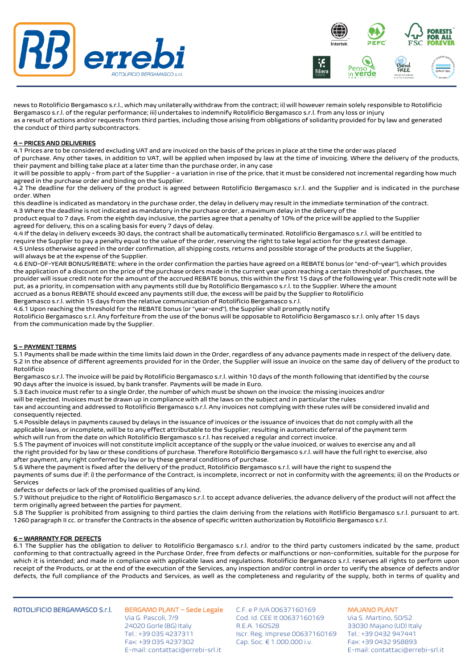



news to Rotolificio Bergamasco s.r.l., which may unilaterally withdraw from the contract; ii) will however remain solely responsible to Rotolificio Bergamasco s.r.l. of the regular performance; iii) undertakes to indemnify Rotolificio Bergamasco s.r.l. from any loss or injury as a result of actions and/or requests from third parties, including those arising from obligations of solidarity provided for by law and generated the conduct of third party subcontractors.

## 4 – PRICES AND DELIVERIES

4.1 Prices are to be considered excluding VAT and are invoiced on the basis of the prices in place at the time the order was placed of purchase. Any other taxes, in addition to VAT, will be applied when imposed by law at the time of invoicing. Where the delivery of the products,

their payment and billing take place at a later time than the purchase order, in any case it will be possible to apply - from part of the Supplier - a variation in rise of the price, that it must be considered not incremental regarding how much

agreed in the purchase order and binding on the Supplier.

4.2 The deadline for the delivery of the product is agreed between Rotolificio Bergamasco s.r.l. and the Supplier and is indicated in the purchase order. When

this deadline is indicated as mandatory in the purchase order, the delay in delivery may result in the immediate termination of the contract. 4.3 Where the deadline is not indicated as mandatory in the purchase order, a maximum delay in the delivery of the product equal to 7 days. From the eighth day inclusive, the parties agree that a penalty of 10% of the price will be applied to the Supplier agreed for delivery, this on a scaling basis for every 7 days of delay.

4.4 If the delay in delivery exceeds 30 days, the contract shall be automatically terminated. Rotolificio Bergamasco s.r.l. will be entitled to require the Supplier to pay a penalty equal to the value of the order, reserving the right to take legal action for the greatest damage. 4.5 Unless otherwise agreed in the order confirmation, all shipping costs, returns and possible storage of the products at the Supplier, will always be at the expense of the Supplier.

4.6 END-OF-YEAR BONUS/REBATE: where in the order confirmation the parties have agreed on a REBATE bonus (or "end-of-year"), which provides the application of a discount on the price of the purchase orders made in the current year upon reaching a certain threshold of purchases, the provider will issue credit note for the amount of the accrued REBATE bonus, this within the first 15 days of the following year. This credit note will be put, as a priority, in compensation with any payments still due by Rotolificio Bergamasco s.r.l. to the Supplier. Where the amount accrued as a bonus REBATE should exceed any payments still due, the excess will be paid by the Supplier to Rotolificio

Bergamasco s.r.l. within 15 days from the relative communication of Rotolificio Bergamasco s.r.l.

4.6.1 Upon reaching the threshold for the REBATE bonus (or "year-end"), the Supplier shall promptly notify

Rotolificio Bergamasco s.r.l. Any forfeiture from the use of the bonus will be opposable to Rotolificio Bergamasco s.r.l. only after 15 days from the communication made by the Supplier.

# 5 – PAYMENT TERMS

5.1 Payments shall be made within the time limits laid down in the Order, regardless of any advance payments made in respect of the delivery date. 5.2 In the absence of different agreements provided for in the Order, the Supplier will issue an invoice on the same day of delivery of the product to Rotolificio

Bergamasco s.r.l. The invoice will be paid by Rotolificio Bergamasco s.r.l. within 10 days of the month following that identified by the course 90 days after the invoice is issued, by bank transfer. Payments will be made in Euro.

5.3 Each invoice must refer to a single Order, the number of which must be shown on the invoice: the missing invoices and/or

will be rejected. Invoices must be drawn up in compliance with all the laws on the subject and in particular the rules

tax and accounting and addressed to Rotolificio Bergamasco s.r.l. Any invoices not complying with these rules will be considered invalid and consequently rejected.

5.4 Possible delays in payments caused by delays in the issuance of invoices or the issuance of invoices that do not comply with all the applicable laws, or incomplete, will be to any effect attributable to the Supplier, resulting in automatic deferral of the payment term which will run from the date on which Rotolificio Bergamasco s.r.l. has received a regular and correct invoice.

5.5 The payment of invoices will not constitute implicit acceptance of the supply or the value invoiced, or waives to exercise any and all the right provided for by law or these conditions of purchase. Therefore Rotolificio Bergamasco s.r.l. will have the full right to exercise, also after payment, any right conferred by law or by these general conditions of purchase.

5.6 Where the payment is fixed after the delivery of the product, Rotolificio Bergamasco s.r.l. will have the right to suspend the payments of sums due if: i) the performance of the Contract, is incomplete, incorrect or not in conformity with the agreements; ii) on the Products or Services

defects or defects or lack of the promised qualities of any kind.

5.7 Without prejudice to the right of Rotolificio Bergamasco s.r.l. to accept advance deliveries, the advance delivery of the product will not affect the term originally agreed between the parties for payment.

5.8 The Supplier is prohibited from assigning to third parties the claim deriving from the relations with Rotlificio Bergamasco s.r.l. pursuant to art. 1260 paragraph II cc. or transfer the Contracts in the absence of specific written authorization by Rotolificio Bergamasco s.r.l.

#### 6 – WARRANTY FOR DEFECTS

6.1 The Supplier has the obligation to deliver to Rotolificio Bergamasco s.r.l. and/or to the third party customers indicated by the same, product conforming to that contractually agreed in the Purchase Order, free from defects or malfunctions or non-conformities, suitable for the purpose for which it is intended; and made in compliance with applicable laws and regulations. Rotolificio Bergamasco s.r.l. reserves all rights to perform upon receipt of the Products, or at the end of the execution of the Services, any inspection and/or control in order to verify the absence of defects and/or defects, the full compliance of the Products and Services, as well as the completeness and regularity of the supply, both in terms of quality and

ROTOLIFICIO BERGAMASCO S.r.l.

BERGAMO PLANT – Sede Legale Via G. Pascoli, 7/9 24020 Gorle (BG) Italy Tel.: +39 035 4237311 Fax: +39 035 4237302 E-mail: contattaci@errebi-srl.it

C.F. e P.IVA 00637160169 Cod. Id. CEE It 00637160169 R.E.A. 160528 Iscr. Reg. Imprese 00637160169 Cap. Soc. € 1.000.000 i.v.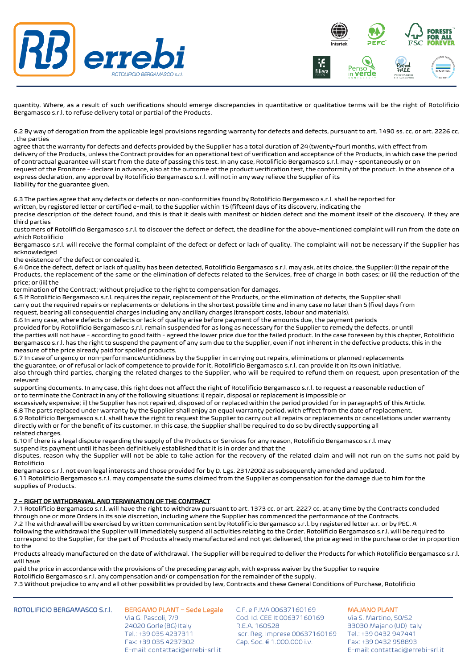



quantity. Where, as a result of such verifications should emerge discrepancies in quantitative or qualitative terms will be the right of Rotolificio Bergamasco s.r.l. to refuse delivery total or partial of the Products.

6.2 By way of derogation from the applicable legal provisions regarding warranty for defects and defects, pursuant to art. 1490 ss. cc. or art. 2226 cc. , the parties

agree that the warranty for defects and defects provided by the Supplier has a total duration of 24 (twenty-four) months, with effect from delivery of the Products, unless the Contract provides for an operational test of verification and acceptance of the Products, in which case the period of contractual guarantee will start from the date of passing this test. In any case, Rotolificio Bergamasco s.r.l. may - spontaneously or on request of the Fronitore - declare in advance, also at the outcome of the product verification test, the conformity of the product. In the absence of a express declaration, any approval by Rotolificio Bergamasco s.r.l. will not in any way relieve the Supplier of its liability for the guarantee given.

6.3 The parties agree that any defects or defects or non-conformities found by Rotolificio Bergamasco s.r.l. shall be reported for

written, by registered letter or certified e-mail, to the Supplier within 15 (fifteen) days of its discovery, indicating the

precise description of the defect found, and this is that it deals with manifest or hidden defect and the moment itself of the discovery. If they are third parties

customers of Rotolificio Bergamasco s.r.l. to discover the defect or defect, the deadline for the above-mentioned complaint will run from the date on which Rotolificio

Bergamasco s.r.l. will receive the formal complaint of the defect or defect or lack of quality. The complaint will not be necessary if the Supplier has acknowledged

the existence of the defect or concealed it.

6.4 Once the defect, defect or lack of quality has been detected, Rotolificio Bergamasco s.r.l. may ask, at its choice, the Supplier: (i) the repair of the Products, the replacement of the same or the elimination of defects related to the Services, free of charge in both cases; or (ii) the reduction of the price; or (iii) the

termination of the Contract; without prejudice to the right to compensation for damages.

6.5 If Rotolificio Bergamasco s.r.l. requires the repair, replacement of the Products, or the elimination of defects, the Supplier shall carry out the required repairs or replacements or deletions in the shortest possible time and in any case no later than 5 (five) days from request, bearing all consequential charges including any ancillary charges (transport costs, labour and materials).

6.6 In any case, where defects or defects or lack of quality arise before payment of the amounts due, the payment periods

provided for by Rotolificio Bergamasco s.r.l. remain suspended for as long as necessary for the Supplier to remedy the defects, or until the parties will not have - according to good faith - agreed the lower price due for the failed product. In the case foreseen by this chapter, Rotolificio Bergamasco s.r.l. has the right to suspend the payment of any sum due to the Supplier, even if not inherent in the defective products, this in the measure of the price already paid for spoiled products.

6.7 In case of urgency or non-performance/untidiness by the Supplier in carrying out repairs, eliminations or planned replacements the guarantee, or of refusal or lack of competence to provide for it, Rotolificio Bergamasco s.r.l. can provide it on its own initiative, also through third parties, charging the related charges to the Supplier, who will be required to refund them on request, upon presentation of the relevant

supporting documents. In any case, this right does not affect the right of Rotolificio Bergamasco s.r.l. to request a reasonable reduction of or to terminate the Contract in any of the following situations: i) repair, disposal or replacement is impossible or

excessively expensive; ii) the Supplier has not repaired, disposed of or replaced within the period provided for in paragraph5 of this Article.

6.8 The parts replaced under warranty by the Supplier shall enjoy an equal warranty period, with effect from the date of replacement.

6.9 Rotolificio Bergamasco s.r.l. shall have the right to request the Supplier to carry out all repairs or replacements or cancellations under warranty directly with or for the benefit of its customer. In this case, the Supplier shall be required to do so by directly supporting all related charges.

6.10 If there is a legal dispute regarding the supply of the Products or Services for any reason, Rotolificio Bergamasco s.r.l. may suspend its payment until it has been definitively established that it is in order and that the

disputes, reason why the Supplier will not be able to take action for the recovery of the related claim and will not run on the sums not paid by Rotolificio

Bergamasco s.r.l. not even legal interests and those provided for by D. Lgs. 231/2002 as subsequently amended and updated. 6.11 Rotolificio Bergamasco s.r.l. may compensate the sums claimed from the Supplier as compensation for the damage due to him for the supplies of Products.

# 7 – RIGHT OF WITHDRAWAL AND TERMINATION OF THE CONTRACT

7.1 Rotolificio Bergamasco s.r.l. will have the right to withdraw pursuant to art. 1373 cc. or art. 2227 cc. at any time by the Contracts concluded through one or more Orders in its sole discretion, including where the Supplier has commenced the performance of the Contracts. 7.2 The withdrawal will be exercised by written communication sent by Rotolificio Bergamasco s.r.l. by registered letter a.r. or by PEC. A following the withdrawal the Supplier will immediately suspend all activities relating to the Order. Rotolificio Bergamasco s.r.l. will be required to correspond to the Supplier, for the part of Products already manufactured and not yet delivered, the price agreed in the purchase order in proportion to the

Products already manufactured on the date of withdrawal. The Supplier will be required to deliver the Products for which Rotolificio Bergamasco s.r.l. will have

paid the price in accordance with the provisions of the preceding paragraph, with express waiver by the Supplier to require Rotolificio Bergamasco s.r.l. any compensation and/ or compensation for the remainder of the supply. 7.3 Without prejudice to any and all other possibilities provided by law, Contracts and these General Conditions of Purchase, Rotolificio

ROTOLIFICIO BERGAMASCO S.r.l.

BERGAMO PLANT – Sede Legale Via G. Pascoli, 7/9 24020 Gorle (BG) Italy Tel.: +39 035 4237311 Fax: +39 035 4237302 E-mail: contattaci@errebi-srl.it

C.F. e P.IVA 00637160169 Cod. Id. CEE It 00637160169 R.E.A. 160528 Iscr. Reg. Imprese 00637160169 Cap. Soc. € 1.000.000 i.v.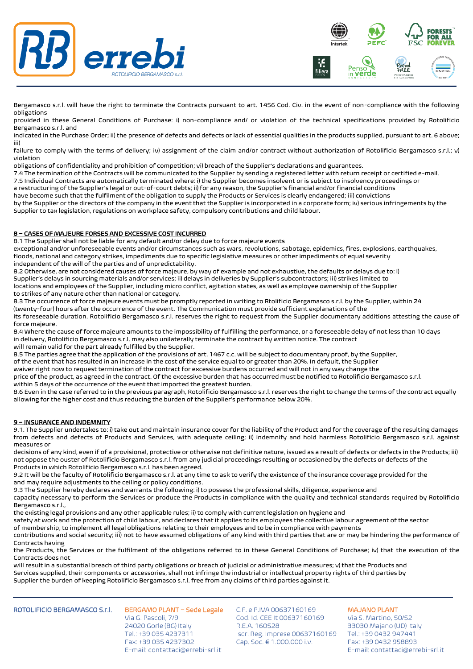



Bergamasco s.r.l. will have the right to terminate the Contracts pursuant to art. 1456 Cod. Civ. in the event of non-compliance with the following obligations

provided in these General Conditions of Purchase: i) non-compliance and/ or violation of the technical specifications provided by Rotolificio Bergamasco s.r.l. and

indicated in the Purchase Order; ii) the presence of defects and defects or lack of essential qualities in the products supplied, pursuant to art. 6 above; iii)

failure to comply with the terms of delivery; iv) assignment of the claim and/or contract without authorization of Rotolificio Bergamasco s.r.l.; v) violation

obligations of confidentiality and prohibition of competition; vi) breach of the Supplier's declarations and guarantees.

7.4 The termination of the Contracts will be communicated to the Supplier by sending a registered letter with return receipt or certified e-mail.

7.5 Individual Contracts are automatically terminated where: i) the Supplier becomes insolvent or is subject to insolvency proceedings or

a restructuring of the Supplier's legal or out-of-court debts; ii) for any reason, the Supplier's financial and/or financial conditions

have become such that the fulfilment of the obligation to supply the Products or Services is clearly endangered; iii) convictions

by the Supplier or the directors of the company in the event that the Supplier is incorporated in a corporate form; iv) serious infringements by the Supplier to tax legislation, regulations on workplace safety, compulsory contributions and child labour.

#### 8 – CASES OF MAJEURE FORSES AND EXCESSIVE COST INCURRED

8.1 The Supplier shall not be liable for any default and/or delay due to force majeure events

exceptional and/or unforeseeable events and/or circumstances such as wars, revolutions, sabotage, epidemics, fires, explosions, earthquakes, floods, national and category strikes, impediments due to specific legislative measures or other impediments of equal severity independent of the will of the parties and of unpredictability.

8.2 Otherwise, are not considered causes of force majeure, by way of example and not exhaustive, the defaults or delays due to: i) Supplier's delays in sourcing materials and/or services; ii) delays in deliveries by Supplier's subcontractors; iii) strikes limited to locations and employees of the Supplier, including micro conflict, agitation states, as well as employee ownership of the Supplier to strikes of any nature other than national or category.

8.3 The occurrence of force majeure events must be promptly reported in writing to Rtolificio Bergamasco s.r.l. by the Supplier, within 24 (twenty-four) hours after the occurrence of the event. The Communication must provide sufficient explanations of the its foreseeable duration. Rotolificio Bergamasco s.r.l. reserves the right to request from the Supplier documentary additions attesting the cause of force majeure.

8.4 Where the cause of force majeure amounts to the impossibility of fulfilling the performance, or a foreseeable delay of not less than 10 days in delivery, Rotolificio Bergamasco s.r.l. may also unilaterally terminate the contract by written notice. The contract will remain valid for the part already fulfilled by the Supplier.

8.5 The parties agree that the application of the provisions of art. 1467 c.c. will be subject to documentary proof, by the Supplier,

of the event that has resulted in an increase in the cost of the service equal to or greater than 20%. In default, the Supplier

waiver right now to request termination of the contract for excessive burdens occurred and will not in any way change the

price of the product, as agreed in the contract. Of the excessive burden that has occurred must be notified to Rotolificio Bergamasco s.r.l.

within 5 days of the occurrence of the event that imported the greatest burden.

8.6 Even in the case referred to in the previous paragraph, Rotolificio Bergamasco s.r.l. reserves the right to change the terms of the contract equally allowing for the higher cost and thus reducing the burden of the Supplier's performance below 20%.

# 9 – INSURANCE AND INDEMNITY

9.1. The Supplier undertakes to: i) take out and maintain insurance cover for the liability of the Product and for the coverage of the resulting damages from defects and defects of Products and Services, with adequate ceiling; ii) indemnify and hold harmless Rotolificio Bergamasco s.r.l. against measures or

decisions of any kind, even if of a provisional, protective or otherwise not definitive nature, issued as a result of defects or defects in the Products; iii) not oppose the ouster of Rotolificio Bergamasco s.r.l. from any judicial proceedings resulting or occasioned by the defects or defects of the Products in which Rotolificio Bergamasco s.r.l. has been agreed.

9.2 It will be the faculty of Rotolificio Bergamasco s.r.l. at any time to ask to verify the existence of the insurance coverage provided for the and may require adjustments to the ceiling or policy conditions.

9.3 The Supplier hereby declares and warrants the following: i) to possess the professional skills, diligence, experience and

capacity necessary to perform the Services or produce the Products in compliance with the quality and technical standards required by Rotolificio Bergamasco s.r.l.,

the existing legal provisions and any other applicable rules; ii) to comply with current legislation on hygiene and

safety at work and the protection of child labour, and declares that it applies to its employees the collective labour agreement of the sector

of membership, to implement all legal obligations relating to their employees and to be in compliance with payments

contributions and social security; iii) not to have assumed obligations of any kind with third parties that are or may be hindering the performance of Contracts having

the Products, the Services or the fulfilment of the obligations referred to in these General Conditions of Purchase; iv) that the execution of the Contracts does not

will result in a substantial breach of third party obligations or breach of judicial or administrative measures; v) that the Products and Services supplied, their components or accessories, shall not infringe the industrial or intellectual property rights of third parties by Supplier the burden of keeping Rotolificio Bergamasco s.r.l. free from any claims of third parties against it.

ROTOLIFICIO BERGAMASCO S.r.l.

BERGAMO PLANT – Sede Legale Via G. Pascoli, 7/9 24020 Gorle (BG) Italy Tel.: +39 035 4237311 Fax: +39 035 4237302 E-mail: contattaci@errebi-srl.it

C.F. e P.IVA 00637160169 Cod. Id. CEE It 00637160169 R.E.A. 160528 Iscr. Reg. Imprese 00637160169 Cap. Soc. € 1.000.000 i.v.